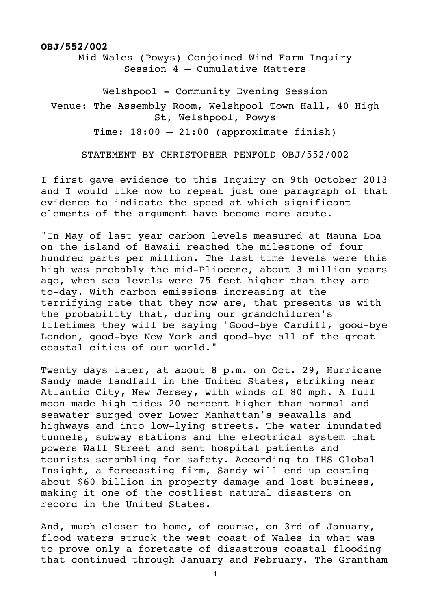## **OBJ/552/002**

Mid Wales (Powys) Conjoined Wind Farm Inquiry Session 4 – Cumulative Matters

Welshpool - Community Evening Session Venue: The Assembly Room, Welshpool Town Hall, 40 High St, Welshpool, Powys Time:  $18:00 - 21:00$  (approximate finish)

STATEMENT BY CHRISTOPHER PENFOLD OBJ/552/002

I first gave evidence to this Inquiry on 9th October 2013 and I would like now to repeat just one paragraph of that evidence to indicate the speed at which significant elements of the argument have become more acute.

"In May of last year carbon levels measured at Mauna Loa on the island of Hawaii reached the milestone of four hundred parts per million. The last time levels were this high was probably the mid-Pliocene, about 3 million years ago, when sea levels were 75 feet higher than they are to-day. With carbon emissions increasing at the terrifying rate that they now are, that presents us with the probability that, during our grandchildren's lifetimes they will be saying "Good-bye Cardiff, good-bye London, good-bye New York and good-bye all of the great coastal cities of our world."

Twenty days later, at about 8 p.m. on Oct. 29, Hurricane Sandy made landfall in the United States, striking near Atlantic City, New Jersey, with winds of 80 mph. A full moon made high tides 20 percent higher than normal and seawater surged over Lower Manhattan's seawalls and highways and into low-lying streets. The water inundated tunnels, subway stations and the electrical system that powers Wall Street and sent hospital patients and tourists scrambling for safety. According to IHS Global Insight, a forecasting firm, Sandy will end up costing about \$60 billion in property damage and lost business, making it one of the costliest natural disasters on record in the United States.

And, much closer to home, of course, on 3rd of January, flood waters struck the west coast of Wales in what was to prove only a foretaste of disastrous coastal flooding that continued through January and February. The Grantham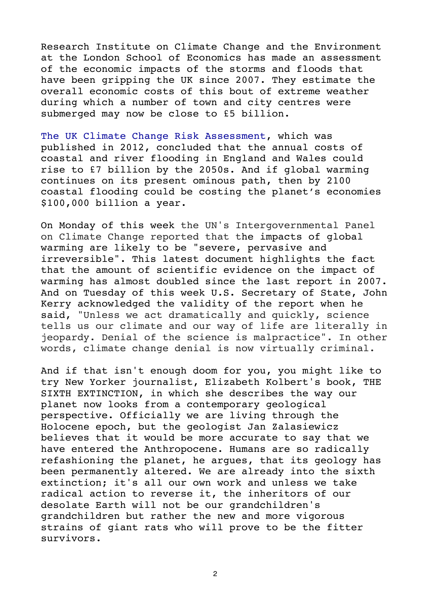Research Institute on Climate Change and the Environment at the London School of Economics has made an assessment of the economic impacts of the storms and floods that have been gripping the UK since 2007. They estimate the overall economic costs of this bout of extreme weather during which a number of town and city centres were submerged may now be close to £5 billion.

The UK Climate Change Risk Assessment, which was published in 2012, concluded that the annual costs of coastal and river flooding in England and Wales could rise to £7 billion by the 2050s. And if global warming continues on its present ominous path, then by 2100 coastal flooding could be costing the planet's economies \$100,000 billion a year.

On Monday of this week the UN's Intergovernmental Panel on Climate Change reported that the impacts of global warming are likely to be "severe, pervasive and irreversible". This latest document highlights the fact that the amount of scientific evidence on the impact of warming has almost doubled since the last report in 2007. And on Tuesday of this week U.S. Secretary of State, John Kerry acknowledged the validity of the report when he said, "Unless we act dramatically and quickly, science tells us our climate and our way of life are literally in jeopardy. Denial of the science is malpractice". In other words, climate change denial is now virtually criminal.

And if that isn't enough doom for you, you might like to try New Yorker journalist, Elizabeth Kolbert's book, THE SIXTH EXTINCTION, in which she describes the way our planet now looks from a contemporary geological perspective. Officially we are living through the Holocene epoch, but the geologist Jan Zalasiewicz believes that it would be more accurate to say that we have entered the Anthropocene. Humans are so radically refashioning the planet, he argues, that its geology has been permanently altered. We are already into the sixth extinction; it's all our own work and unless we take radical action to reverse it, the inheritors of our desolate Earth will not be our grandchildren's grandchildren but rather the new and more vigorous strains of giant rats who will prove to be the fitter survivors.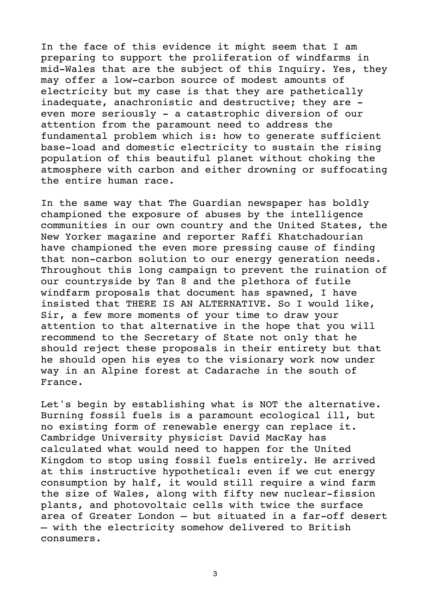In the face of this evidence it might seem that I am preparing to support the proliferation of windfarms in mid-Wales that are the subject of this Inquiry. Yes, they may offer a low-carbon source of modest amounts of electricity but my case is that they are pathetically inadequate, anachronistic and destructive; they are even more seriously - a catastrophic diversion of our attention from the paramount need to address the fundamental problem which is: how to generate sufficient base-load and domestic electricity to sustain the rising population of this beautiful planet without choking the atmosphere with carbon and either drowning or suffocating the entire human race.

In the same way that The Guardian newspaper has boldly championed the exposure of abuses by the intelligence communities in our own country and the United States, the New Yorker magazine and reporter Raffi Khatchadourian have championed the even more pressing cause of finding that non-carbon solution to our energy generation needs. Throughout this long campaign to prevent the ruination of our countryside by Tan 8 and the plethora of futile windfarm proposals that document has spawned, I have insisted that THERE IS AN ALTERNATIVE. So I would like, Sir, a few more moments of your time to draw your attention to that alternative in the hope that you will recommend to the Secretary of State not only that he should reject these proposals in their entirety but that he should open his eyes to the visionary work now under way in an Alpine forest at Cadarache in the south of France.

Let's begin by establishing what is NOT the alternative. Burning fossil fuels is a paramount ecological ill, but no existing form of renewable energy can replace it. Cambridge University physicist David MacKay has calculated what would need to happen for the United Kingdom to stop using fossil fuels entirely. He arrived at this instructive hypothetical: even if we cut energy consumption by half, it would still require a wind farm the size of Wales, along with fifty new nuclear-fission plants, and photovoltaic cells with twice the surface area of Greater London — but situated in a far-off desert — with the electricity somehow delivered to British consumers.

3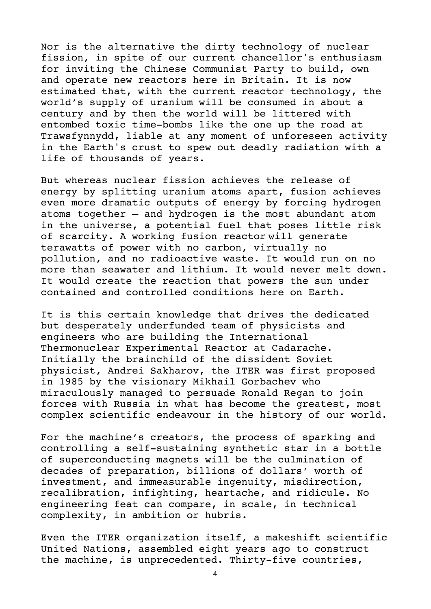Nor is the alternative the dirty technology of nuclear fission, in spite of our current chancellor's enthusiasm for inviting the Chinese Communist Party to build, own and operate new reactors here in Britain. It is now estimated that, with the current reactor technology, the world's supply of uranium will be consumed in about a century and by then the world will be littered with entombed toxic time-bombs like the one up the road at Trawsfynnydd, liable at any moment of unforeseen activity in the Earth's crust to spew out deadly radiation with a life of thousands of years.

But whereas nuclear fission achieves the release of energy by splitting uranium atoms apart, fusion achieves even more dramatic outputs of energy by forcing hydrogen atoms together — and hydrogen is the most abundant atom in the universe, a potential fuel that poses little risk of scarcity. A working fusion reactor will generate terawatts of power with no carbon, virtually no pollution, and no radioactive waste. It would run on no more than seawater and lithium. It would never melt down. It would create the reaction that powers the sun under contained and controlled conditions here on Earth.

It is this certain knowledge that drives the dedicated but desperately underfunded team of physicists and engineers who are building the International Thermonuclear Experimental Reactor at Cadarache. Initially the brainchild of the dissident Soviet physicist, Andrei Sakharov, the ITER was first proposed in 1985 by the visionary Mikhail Gorbachev who miraculously managed to persuade Ronald Regan to join forces with Russia in what has become the greatest, most complex scientific endeavour in the history of our world.

For the machine's creators, the process of sparking and controlling a self-sustaining synthetic star in a bottle of superconducting magnets will be the culmination of decades of preparation, billions of dollars' worth of investment, and immeasurable ingenuity, misdirection, recalibration, infighting, heartache, and ridicule. No engineering feat can compare, in scale, in technical complexity, in ambition or hubris.

Even the ITER organization itself, a makeshift scientific United Nations, assembled eight years ago to construct the machine, is unprecedented. Thirty-five countries,